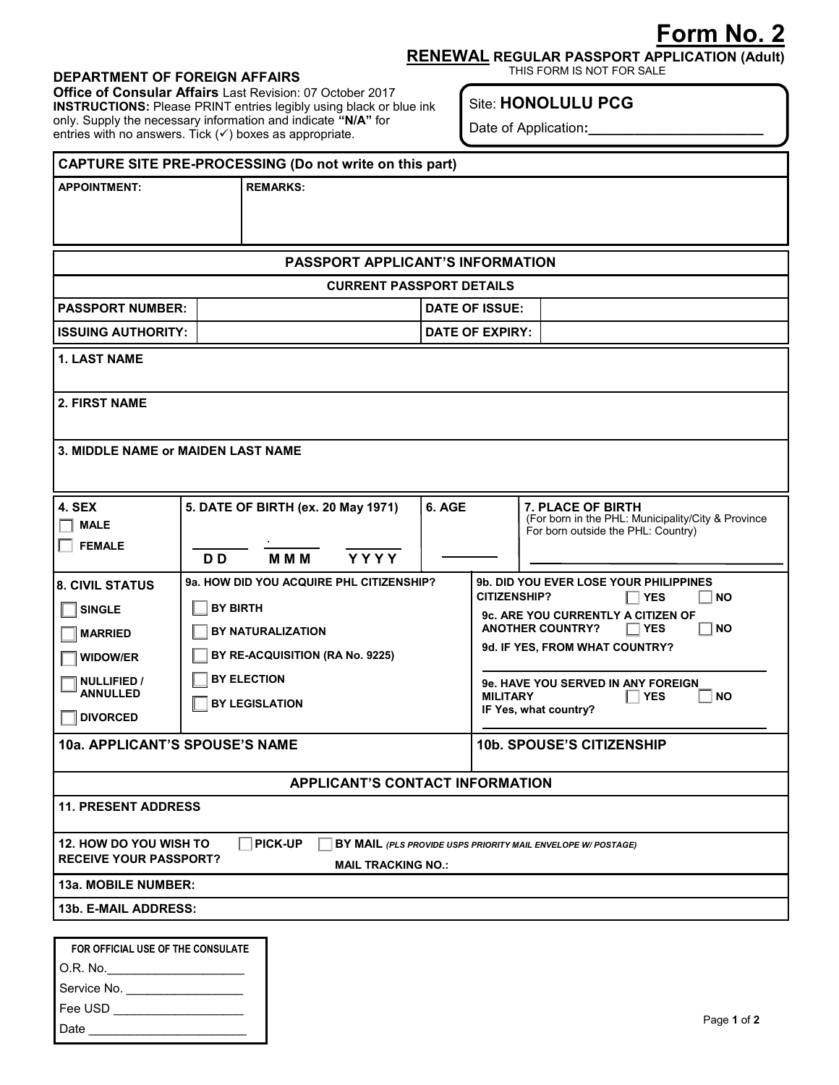## **Form No. 2**

**RENEWAL REGULAR PASSPORT APPLICATION (Adult)**

## DEPARTMENT OF FOREIGN AFFAIRS

**Office of Consular Affairs** Last Revision: 07 October 2017 **INSTRUCTIONS:** Please PRINT entries legibly using black or blue ink only. Supply the necessary information and indicate **"N/A"** for entries with no answers. Tick  $($   $\checkmark$   $)$  boxes as appropriate.

## Site: **HONOLULU PCG**

Date of Application**:\_\_\_\_\_\_\_\_\_\_\_\_\_\_\_\_\_\_\_\_\_\_\_**

| CAPTURE SITE PRE-PROCESSING (Do not write on this part)         |                    |                                                                   |                        |                                                                     |                                                                                                                                                     |  |  |  |  |  |  |
|-----------------------------------------------------------------|--------------------|-------------------------------------------------------------------|------------------------|---------------------------------------------------------------------|-----------------------------------------------------------------------------------------------------------------------------------------------------|--|--|--|--|--|--|
| <b>APPOINTMENT:</b>                                             |                    | <b>REMARKS:</b>                                                   |                        |                                                                     |                                                                                                                                                     |  |  |  |  |  |  |
|                                                                 |                    |                                                                   |                        |                                                                     |                                                                                                                                                     |  |  |  |  |  |  |
| PASSPORT APPLICANT'S INFORMATION                                |                    |                                                                   |                        |                                                                     |                                                                                                                                                     |  |  |  |  |  |  |
| <b>CURRENT PASSPORT DETAILS</b>                                 |                    |                                                                   |                        |                                                                     |                                                                                                                                                     |  |  |  |  |  |  |
| <b>PASSPORT NUMBER:</b>                                         |                    |                                                                   | <b>DATE OF ISSUE:</b>  |                                                                     |                                                                                                                                                     |  |  |  |  |  |  |
| <b>ISSUING AUTHORITY:</b>                                       |                    |                                                                   | <b>DATE OF EXPIRY:</b> |                                                                     |                                                                                                                                                     |  |  |  |  |  |  |
| <b>1. LAST NAME</b>                                             |                    |                                                                   |                        |                                                                     |                                                                                                                                                     |  |  |  |  |  |  |
| <b>2. FIRST NAME</b>                                            |                    |                                                                   |                        |                                                                     |                                                                                                                                                     |  |  |  |  |  |  |
| 3. MIDDLE NAME or MAIDEN LAST NAME                              |                    |                                                                   |                        |                                                                     |                                                                                                                                                     |  |  |  |  |  |  |
|                                                                 |                    |                                                                   |                        |                                                                     |                                                                                                                                                     |  |  |  |  |  |  |
| <b>4. SEX</b>                                                   |                    | 5. DATE OF BIRTH (ex. 20 May 1971)                                | 6. AGE                 |                                                                     | <b>7. PLACE OF BIRTH</b><br>(For born in the PHL: Municipality/City & Province                                                                      |  |  |  |  |  |  |
| <b>MALE</b>                                                     |                    |                                                                   |                        |                                                                     | For born outside the PHL: Country)                                                                                                                  |  |  |  |  |  |  |
| <b>FEMALE</b>                                                   | D <sub>D</sub>     | <b>YYYY</b><br><b>MMM</b>                                         |                        |                                                                     |                                                                                                                                                     |  |  |  |  |  |  |
| <b>8. CIVIL STATUS</b>                                          |                    | 9a. HOW DID YOU ACQUIRE PHL CITIZENSHIP?                          |                        |                                                                     | <b>9b. DID YOU EVER LOSE YOUR PHILIPPINES</b>                                                                                                       |  |  |  |  |  |  |
| <b>SINGLE</b>                                                   |                    | <b>BY BIRTH</b>                                                   |                        |                                                                     | <b>CITIZENSHIP?</b><br><b>YES</b><br><b>NO</b><br><b>9c. ARE YOU CURRENTLY A CITIZEN OF</b><br><b>ANOTHER COUNTRY?</b><br><b>NO</b><br>$\sqcap$ YES |  |  |  |  |  |  |
| <b>MARRIED</b>                                                  |                    | BY NATURALIZATION                                                 |                        |                                                                     |                                                                                                                                                     |  |  |  |  |  |  |
| <b>WIDOW/ER</b>                                                 |                    | 9d. IF YES, FROM WHAT COUNTRY?<br>BY RE-ACQUISITION (RA No. 9225) |                        |                                                                     |                                                                                                                                                     |  |  |  |  |  |  |
| <b>NULLIFIED /</b>                                              | <b>BY ELECTION</b> |                                                                   |                        |                                                                     | 9e. HAVE YOU SERVED IN ANY FOREIGN                                                                                                                  |  |  |  |  |  |  |
| <b>ANNULLED</b>                                                 |                    | <b>BY LEGISLATION</b>                                             |                        | <b>MILITARY</b><br><b>NO</b><br><b>YES</b><br>IF Yes, what country? |                                                                                                                                                     |  |  |  |  |  |  |
| <b>DIVORCED</b>                                                 |                    |                                                                   |                        |                                                                     |                                                                                                                                                     |  |  |  |  |  |  |
| 10a. APPLICANT'S SPOUSE'S NAME                                  |                    |                                                                   |                        | <b>10b. SPOUSE'S CITIZENSHIP</b>                                    |                                                                                                                                                     |  |  |  |  |  |  |
|                                                                 |                    | <b>APPLICANT'S CONTACT INFORMATION</b>                            |                        |                                                                     |                                                                                                                                                     |  |  |  |  |  |  |
| <b>11. PRESENT ADDRESS</b>                                      |                    |                                                                   |                        |                                                                     |                                                                                                                                                     |  |  |  |  |  |  |
| 12. HOW DO YOU WISH TO<br><b>RECEIVE YOUR PASSPORT?</b>         |                    | <b>PICK-UP</b><br><b>MAIL TRACKING NO.:</b>                       |                        |                                                                     | BY MAIL (PLS PROVIDE USPS PRIORITY MAIL ENVELOPE W/ POSTAGE)                                                                                        |  |  |  |  |  |  |
| 13a. MOBILE NUMBER:                                             |                    |                                                                   |                        |                                                                     |                                                                                                                                                     |  |  |  |  |  |  |
| 13b. E-MAIL ADDRESS:                                            |                    |                                                                   |                        |                                                                     |                                                                                                                                                     |  |  |  |  |  |  |
|                                                                 |                    |                                                                   |                        |                                                                     |                                                                                                                                                     |  |  |  |  |  |  |
| FOR OFFICIAL USE OF THE CONSULATE                               |                    |                                                                   |                        |                                                                     |                                                                                                                                                     |  |  |  |  |  |  |
| O.R. No.______________________                                  |                    |                                                                   |                        |                                                                     |                                                                                                                                                     |  |  |  |  |  |  |
| Service No. ___________________<br>Fee USD ____________________ |                    |                                                                   |                        |                                                                     |                                                                                                                                                     |  |  |  |  |  |  |
| Page 1 of 2                                                     |                    |                                                                   |                        |                                                                     |                                                                                                                                                     |  |  |  |  |  |  |
|                                                                 |                    |                                                                   |                        |                                                                     |                                                                                                                                                     |  |  |  |  |  |  |